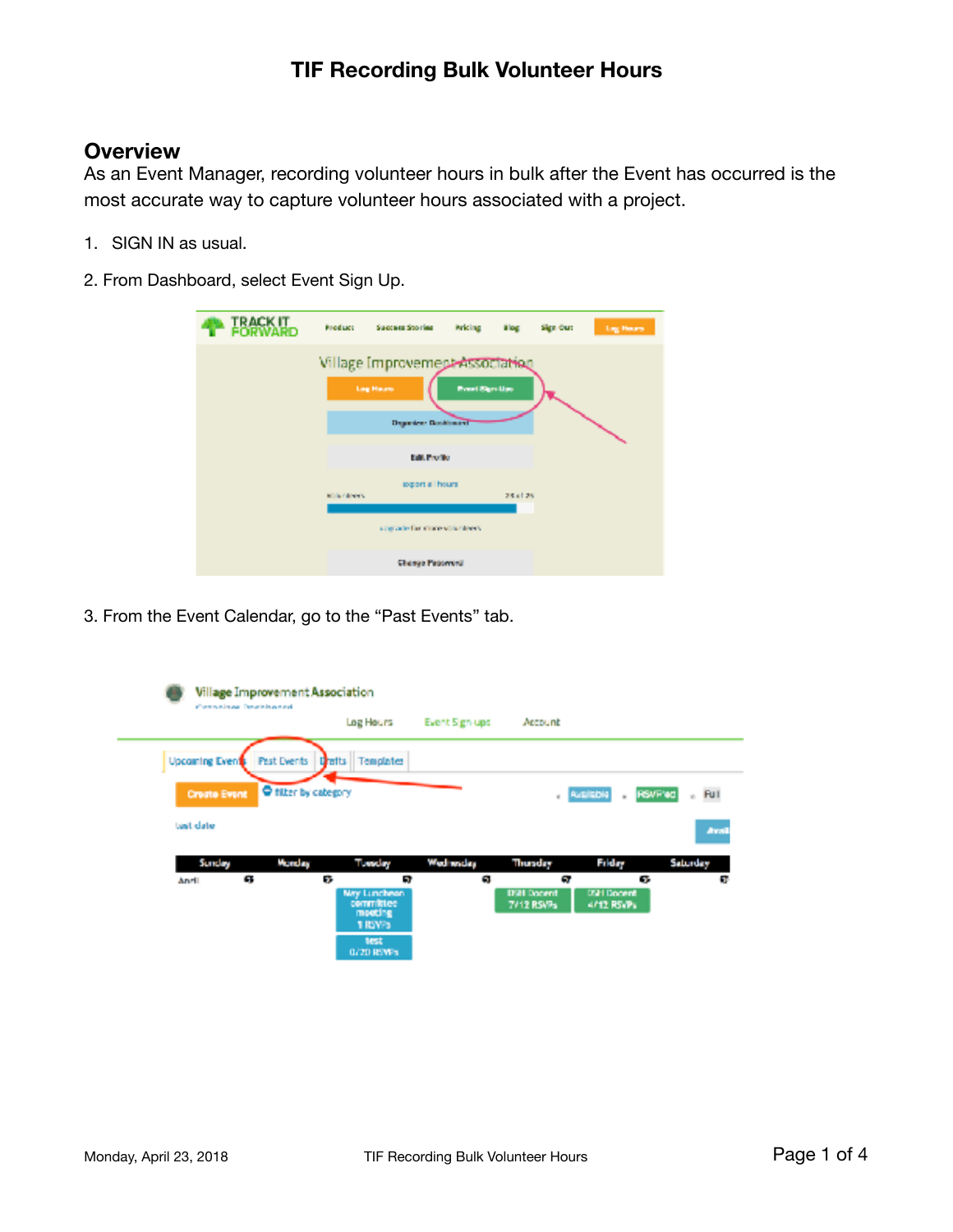#### **Overview**

As an Event Manager, recording volunteer hours in bulk after the Event has occurred is the most accurate way to capture volunteer hours associated with a project.

- 1. SIGN IN as usual.
- 2. From Dashboard, select Event Sign Up.

| ► IRAGKU.    | <b>Product</b>            | Success Stories                                                                    | Pricing Blog         |          | Sign Out | Log Hours |
|--------------|---------------------------|------------------------------------------------------------------------------------|----------------------|----------|----------|-----------|
|              |                           | Village Improvement Association<br><b>Lag Hause</b><br><b>Departem Distributor</b> | <b>President Ups</b> |          |          |           |
| East Profile |                           |                                                                                    |                      |          |          |           |
|              | <b>Wildle Calculation</b> | export all hours                                                                   |                      | 28.61.25 |          |           |
|              |                           | upgrade for more with nieers.                                                      |                      |          |          |           |
|              |                           | Change Peatewest                                                                   |                      |          |          |           |

3. From the Event Calendar, go to the "Past Events" tab.

|                       | Village Improvement Association<br>Computers Descriptions |                                                                       |                |                                               |                                 |          |
|-----------------------|-----------------------------------------------------------|-----------------------------------------------------------------------|----------------|-----------------------------------------------|---------------------------------|----------|
|                       |                                                           | Log Hours                                                             | Event Sign-ups | Account                                       |                                 |          |
| <b>Upcoming Event</b> | Past Events Drafts                                        | Templates                                                             |                |                                               |                                 |          |
| <b>Create Event</b>   | <b>O</b> filter by category                               |                                                                       |                | $_4$ $A4 = 1504$                              | <b>RSVF'ed</b><br>$\sim$        | e Full   |
| tust date             |                                                           |                                                                       |                |                                               |                                 | Avail    |
| Sunday                | Monday                                                    | Tuesday                                                               | Wad wides      | Thursday                                      | Friday                          | Saturday |
| Andi                  | G.                                                        | ÷.<br>a,<br>May Luncheon<br>committee<br>moeting<br>1 RW <sub>3</sub> | G.             | G.<br><b>D'21 Docent</b><br><b>7/12 RSVPs</b> | 67.<br>DSH Docent<br>4/12 RSVPs | GH.      |
|                       |                                                           | test<br>0/20 RW +                                                     |                |                                               |                                 |          |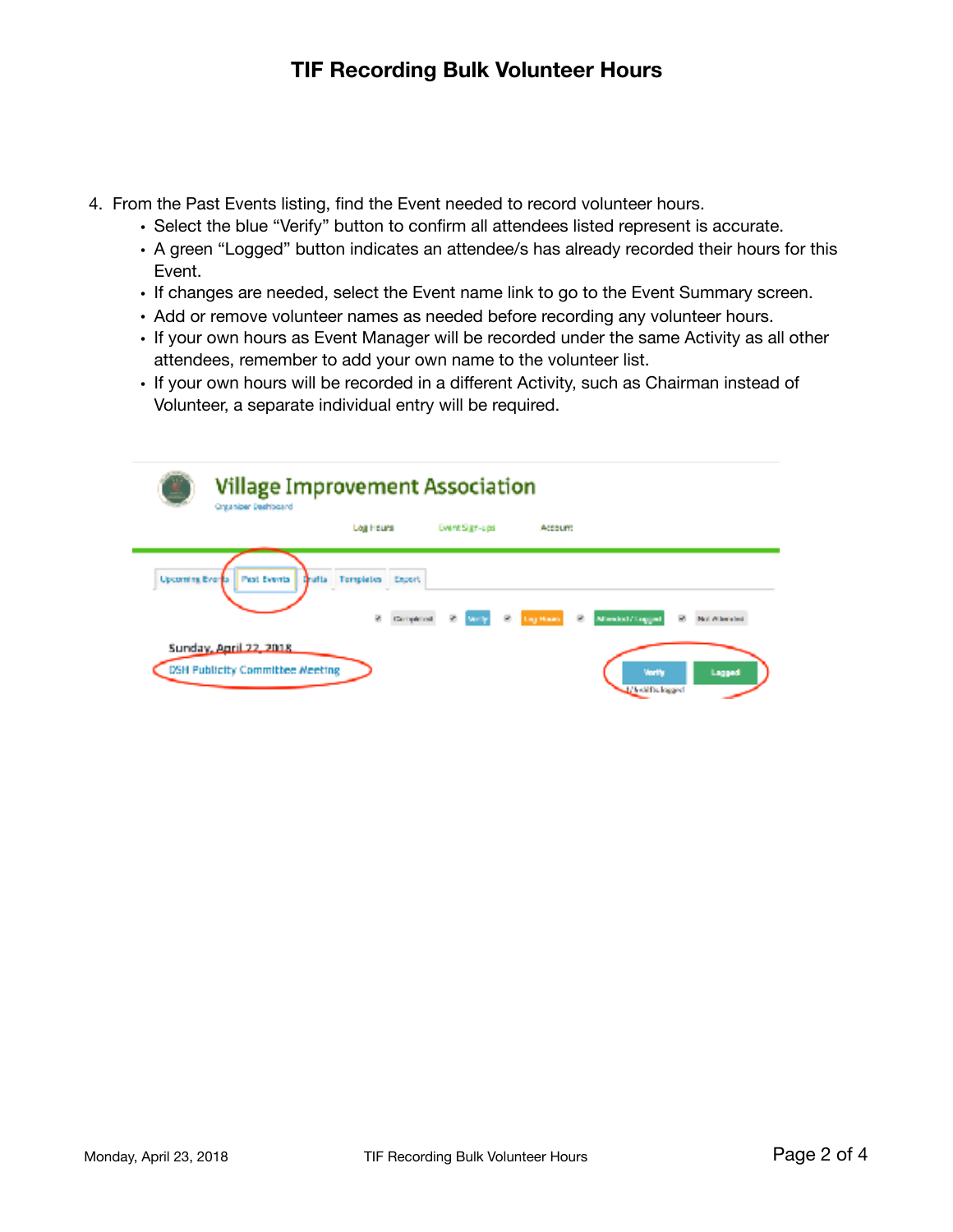- 4. From the Past Events listing, find the Event needed to record volunteer hours.
	- Select the blue "Verify" button to confirm all attendees listed represent is accurate.
	- A green "Logged" button indicates an attendee/s has already recorded their hours for this Event.
	- If changes are needed, select the Event name link to go to the Event Summary screen.
	- Add or remove volunteer names as needed before recording any volunteer hours.
	- If your own hours as Event Manager will be recorded under the same Activity as all other attendees, remember to add your own name to the volunteer list.
	- If your own hours will be recorded in a different Activity, such as Chairman instead of Volunteer, a separate individual entry will be required.

| <b>Village Improvement Association</b><br>Organizer Deshboard    |                                                   |                      |             |                                   |               |
|------------------------------------------------------------------|---------------------------------------------------|----------------------|-------------|-----------------------------------|---------------|
|                                                                  | Log Hours                                         | Event Sign-Los       | Account     |                                   |               |
| Upcoming Everla   Past Events                                    | <b>Oralta</b> Templetes Export<br>×<br>Completed. | <b>Windy</b><br>- 19 | Lig Hours B | Allendolf/Togged<br>F.            | Not When help |
| Sunday, April 22, 2018<br><b>DSH Publicity Committee Meeting</b> |                                                   |                      |             | <b>Vorth</b><br>1/4 skills logged | Lagged        |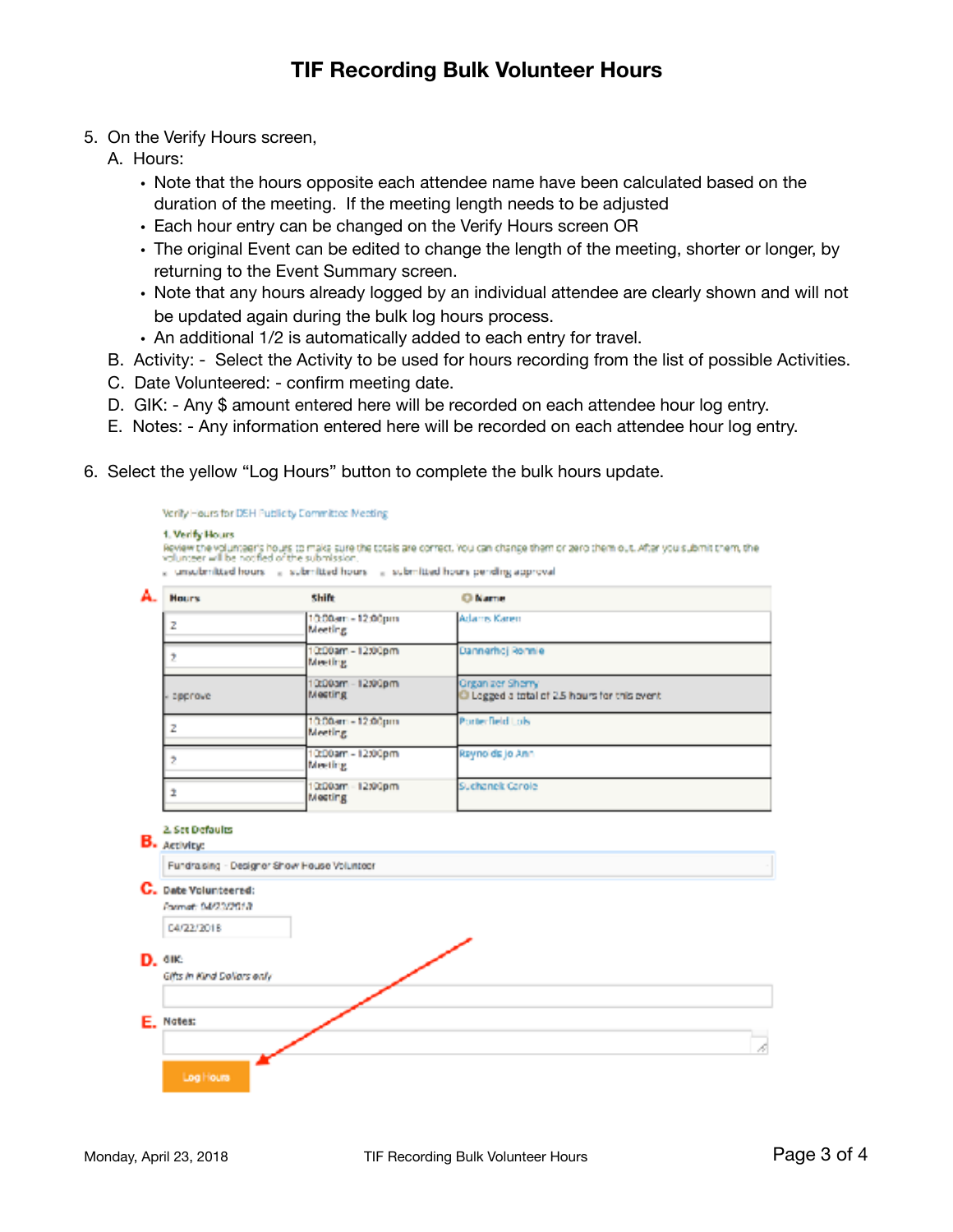- 5. On the Verify Hours screen,
	- A. Hours:
		- Note that the hours opposite each attendee name have been calculated based on the duration of the meeting. If the meeting length needs to be adjusted
		- Each hour entry can be changed on the Verify Hours screen OR
		- The original Event can be edited to change the length of the meeting, shorter or longer, by returning to the Event Summary screen.
		- Note that any hours already logged by an individual attendee are clearly shown and will not be updated again during the bulk log hours process.
		- An additional 1/2 is automatically added to each entry for travel.
	- B. Activity: Select the Activity to be used for hours recording from the list of possible Activities.
	- C. Date Volunteered: confirm meeting date.
	- D. GIK: Any \$ amount entered here will be recorded on each attendee hour log entry.
	- E. Notes: Any information entered here will be recorded on each attendee hour log entry.
- 6. Select the yellow "Log Hours" button to complete the bulk hours update.

| A. | <b>Hours</b> | <b>Shift</b>                  | <b>Children</b>                                                 |
|----|--------------|-------------------------------|-----------------------------------------------------------------|
| z  |              | 10:00am - 12:00pm<br>Meeting  | Adams Karen                                                     |
| ,  |              | 10:00am - 12:00pm<br>Meeting  | Dannerhoj Romnie                                                |
|    | - approve    | 10:00am - 12:00pm<br>Mesting  | Grganizer Sherry<br>Logged a total of 2.5 hours for this event. |
| z  |              | 10:00am - 12:00pm<br>Meeting. | Protectield Lok                                                 |
| ,  |              | 10:00am - 12:00pm<br>Meeting  | Raynolds jo Ann                                                 |
|    |              | 0:00am - 12:00pm<br>Meeting   | Suchanek Carole                                                 |

D. OIK:

E. Notes:

04/22/2018

Gifts in Kind Dollars only

Logilloum